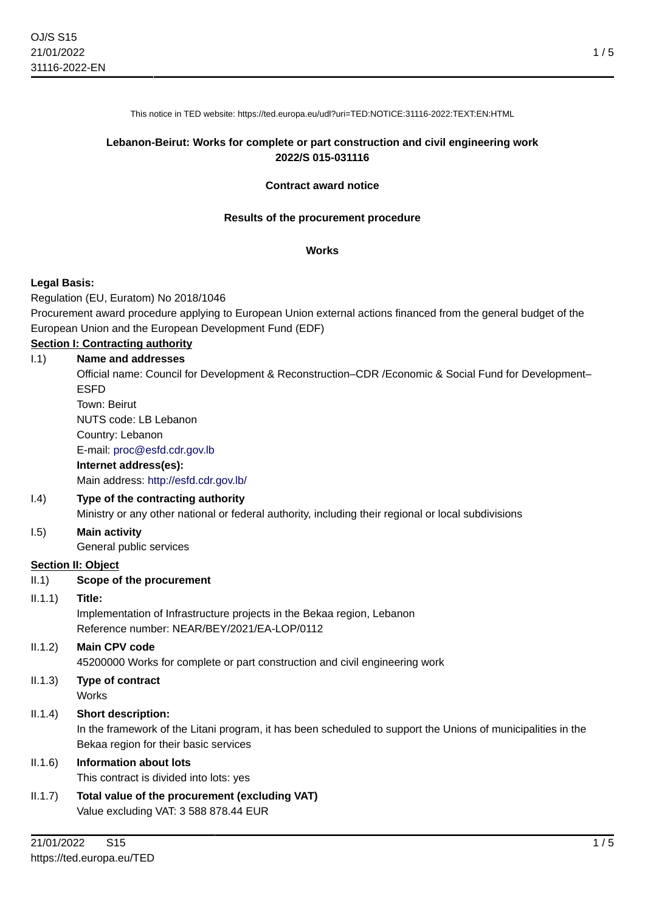This notice in TED website: https://ted.europa.eu/udl?uri=TED:NOTICE:31116-2022:TEXT:EN:HTML

# **Lebanon-Beirut: Works for complete or part construction and civil engineering work 2022/S 015-031116**

#### **Contract award notice**

#### **Results of the procurement procedure**

#### **Works**

#### **Legal Basis:**

Regulation (EU, Euratom) No 2018/1046

Procurement award procedure applying to European Union external actions financed from the general budget of the European Union and the European Development Fund (EDF)

# **Section I: Contracting authority**

### I.1) **Name and addresses**

Official name: Council for Development & Reconstruction–CDR /Economic & Social Fund for Development– ESFD

Town: Beirut NUTS code: LB Lebanon Country: Lebanon E-mail: [proc@esfd.cdr.gov.lb](mailto:proc@esfd.cdr.gov.lb) **Internet address(es):**

# Main address:<http://esfd.cdr.gov.lb/>

#### I.4) **Type of the contracting authority**

Ministry or any other national or federal authority, including their regional or local subdivisions

# I.5) **Main activity**

General public services

### **Section II: Object**

II.1) **Scope of the procurement**

# II.1.1) **Title:**

Implementation of Infrastructure projects in the Bekaa region, Lebanon Reference number: NEAR/BEY/2021/EA-LOP/0112

# II.1.2) **Main CPV code**

45200000 Works for complete or part construction and civil engineering work

- II.1.3) **Type of contract**
	- **Works**

# II.1.4) **Short description:**

In the framework of the Litani program, it has been scheduled to support the Unions of municipalities in the Bekaa region for their basic services

# II.1.6) **Information about lots**

This contract is divided into lots: yes

II.1.7) **Total value of the procurement (excluding VAT)** Value excluding VAT: 3 588 878.44 EUR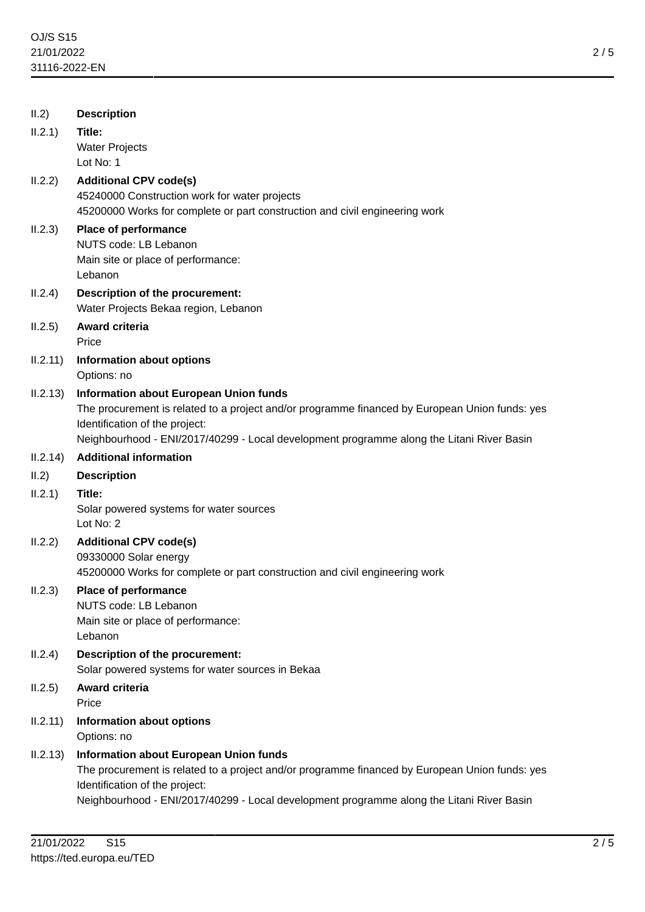| II.2)    | <b>Description</b>                                                                                                                                                                                                                                                             |
|----------|--------------------------------------------------------------------------------------------------------------------------------------------------------------------------------------------------------------------------------------------------------------------------------|
| II.2.1)  | Title:<br><b>Water Projects</b><br>Lot No: 1                                                                                                                                                                                                                                   |
| II.2.2)  | <b>Additional CPV code(s)</b><br>45240000 Construction work for water projects<br>45200000 Works for complete or part construction and civil engineering work                                                                                                                  |
| II.2.3)  | Place of performance<br>NUTS code: LB Lebanon<br>Main site or place of performance:<br>Lebanon                                                                                                                                                                                 |
| II.2.4)  | Description of the procurement:<br>Water Projects Bekaa region, Lebanon                                                                                                                                                                                                        |
| II.2.5)  | Award criteria<br>Price                                                                                                                                                                                                                                                        |
| II.2.11) | <b>Information about options</b><br>Options: no                                                                                                                                                                                                                                |
| II.2.13) | <b>Information about European Union funds</b><br>The procurement is related to a project and/or programme financed by European Union funds: yes<br>Identification of the project:<br>Neighbourhood - ENI/2017/40299 - Local development programme along the Litani River Basin |
| II.2.14) | <b>Additional information</b>                                                                                                                                                                                                                                                  |
| II.2)    | <b>Description</b>                                                                                                                                                                                                                                                             |
| II.2.1)  | Title:<br>Solar powered systems for water sources<br>Lot No: 2                                                                                                                                                                                                                 |
| II.2.2)  | <b>Additional CPV code(s)</b><br>09330000 Solar energy<br>45200000 Works for complete or part construction and civil engineering work                                                                                                                                          |
| II.2.3)  | <b>Place of performance</b><br>NUTS code: LB Lebanon<br>Main site or place of performance:<br>Lebanon                                                                                                                                                                          |
| II.2.4)  | Description of the procurement:<br>Solar powered systems for water sources in Bekaa                                                                                                                                                                                            |
| II.2.5)  | Award criteria<br>Price                                                                                                                                                                                                                                                        |
| II.2.11) | Information about options<br>Options: no                                                                                                                                                                                                                                       |
| II.2.13) | <b>Information about European Union funds</b><br>The procurement is related to a project and/or programme financed by European Union funds: yes<br>Identification of the project:<br>Neighbourhood - ENI/2017/40299 - Local development programme along the Litani River Basin |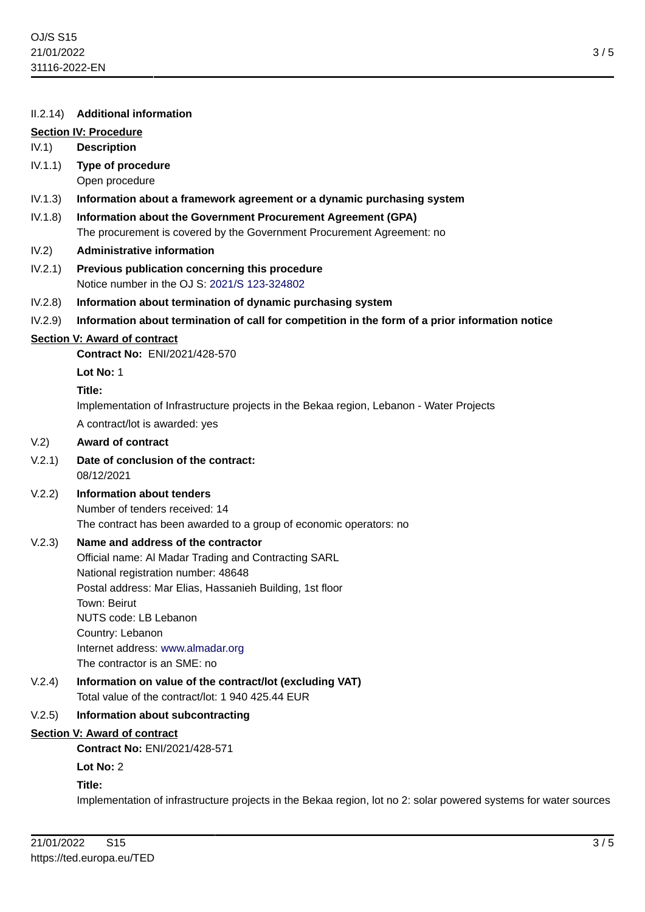# II.2.14) **Additional information**

# **Section IV: Procedure**

# IV.1) **Description**

IV.1.1) **Type of procedure** Open procedure

# IV.1.3) **Information about a framework agreement or a dynamic purchasing system**

IV.1.8) **Information about the Government Procurement Agreement (GPA)** The procurement is covered by the Government Procurement Agreement: no

# IV.2) **Administrative information**

- IV.2.1) **Previous publication concerning this procedure** Notice number in the OJ S: [2021/S 123-324802](https://ted.europa.eu/udl?uri=TED:NOTICE:324802-2021:TEXT:EN:HTML)
- IV.2.8) **Information about termination of dynamic purchasing system**
- IV.2.9) **Information about termination of call for competition in the form of a prior information notice**

# **Section V: Award of contract**

**Contract No:** ENI/2021/428-570

#### **Lot No:** 1

# **Title:**

Implementation of Infrastructure projects in the Bekaa region, Lebanon - Water Projects

A contract/lot is awarded: yes

# V.2) **Award of contract**

V.2.1) **Date of conclusion of the contract:** 08/12/2021

# V.2.2) **Information about tenders** Number of tenders received: 14

The contract has been awarded to a group of economic operators: no

# V.2.3) **Name and address of the contractor**

Official name: Al Madar Trading and Contracting SARL National registration number: 48648 Postal address: Mar Elias, Hassanieh Building, 1st floor Town: Beirut NUTS code: LB Lebanon Country: Lebanon Internet address: <www.almadar.org>

The contractor is an SME: no

V.2.4) **Information on value of the contract/lot (excluding VAT)** Total value of the contract/lot: 1 940 425.44 EUR

# V.2.5) **Information about subcontracting**

# **Section V: Award of contract**

**Contract No:** ENI/2021/428-571

**Lot No:** 2

# **Title:**

Implementation of infrastructure projects in the Bekaa region, lot no 2: solar powered systems for water sources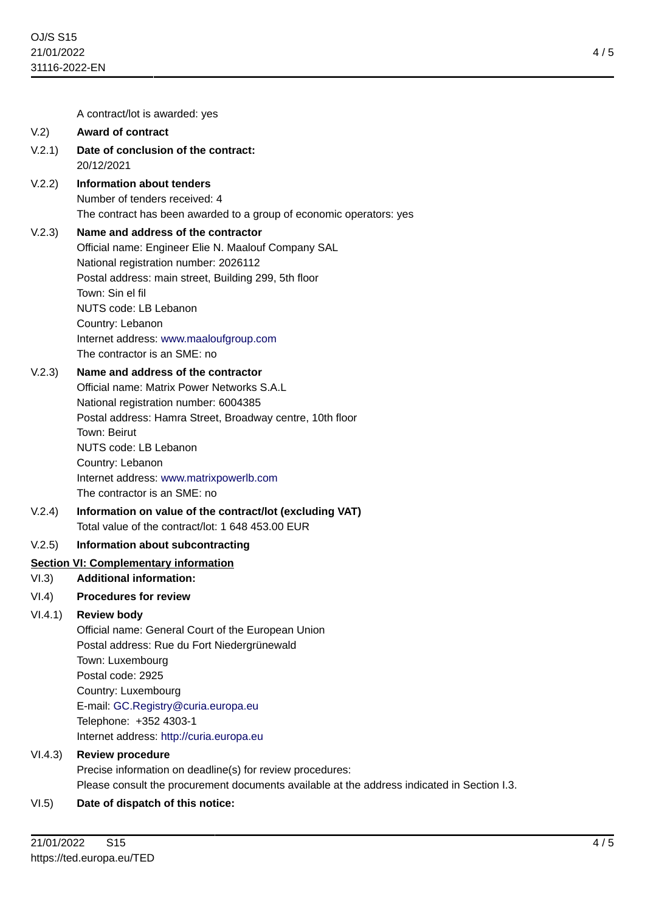A contract/lot is awarded: yes

# V.2) **Award of contract**

- V.2.1) **Date of conclusion of the contract:** 20/12/2021
- V.2.2) **Information about tenders** Number of tenders received: 4 The contract has been awarded to a group of economic operators: yes

#### V.2.3) **Name and address of the contractor**

Official name: Engineer Elie N. Maalouf Company SAL National registration number: 2026112 Postal address: main street, Building 299, 5th floor Town: Sin el fil NUTS code: LB Lebanon Country: Lebanon Internet address: <www.maaloufgroup.com> The contractor is an SME: no

#### V.2.3) **Name and address of the contractor**

Official name: Matrix Power Networks S.A.L National registration number: 6004385 Postal address: Hamra Street, Broadway centre, 10th floor Town: Beirut NUTS code: LB Lebanon Country: Lebanon Internet address: <www.matrixpowerlb.com> The contractor is an SME: no

V.2.4) **Information on value of the contract/lot (excluding VAT)** Total value of the contract/lot: 1 648 453.00 EUR

# V.2.5) **Information about subcontracting**

# **Section VI: Complementary information**

# VI.3) **Additional information:**

#### VI.4) **Procedures for review**

# VI.4.1) **Review body**

Official name: General Court of the European Union Postal address: Rue du Fort Niedergrünewald Town: Luxembourg Postal code: 2925 Country: Luxembourg E-mail: [GC.Registry@curia.europa.eu](mailto:GC.Registry@curia.europa.eu) Telephone: +352 4303-1 Internet address: <http://curia.europa.eu>

#### VI.4.3) **Review procedure**

Precise information on deadline(s) for review procedures: Please consult the procurement documents available at the address indicated in Section I.3.

# VI.5) **Date of dispatch of this notice:**